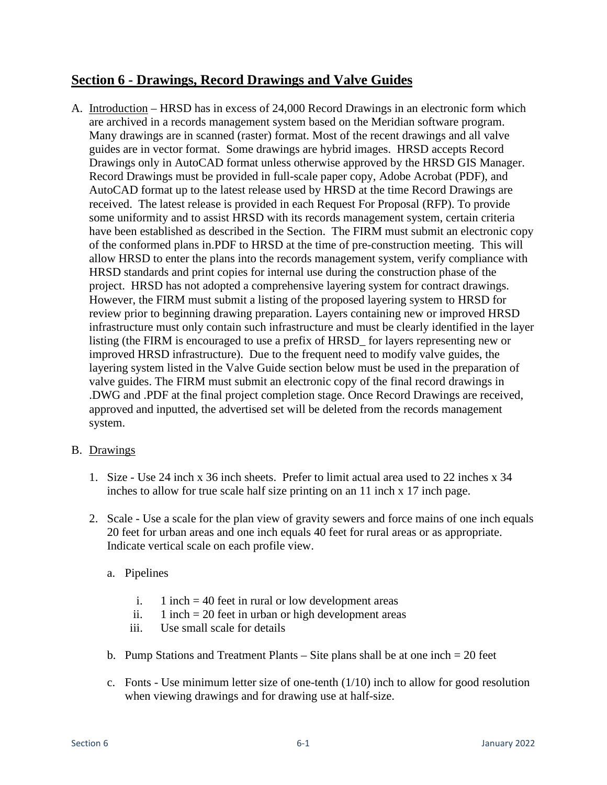# **Section 6 - Drawings, Record Drawings and Valve Guides**

A. Introduction – HRSD has in excess of 24,000 Record Drawings in an electronic form which are archived in a records management system based on the Meridian software program. Many drawings are in scanned (raster) format. Most of the recent drawings and all valve guides are in vector format. Some drawings are hybrid images. HRSD accepts Record Drawings only in AutoCAD format unless otherwise approved by the HRSD GIS Manager. Record Drawings must be provided in full-scale paper copy, Adobe Acrobat (PDF), and AutoCAD format up to the latest release used by HRSD at the time Record Drawings are received. The latest release is provided in each Request For Proposal (RFP). To provide some uniformity and to assist HRSD with its records management system, certain criteria have been established as described in the Section. The FIRM must submit an electronic copy of the conformed plans in.PDF to HRSD at the time of pre-construction meeting. This will allow HRSD to enter the plans into the records management system, verify compliance with HRSD standards and print copies for internal use during the construction phase of the project. HRSD has not adopted a comprehensive layering system for contract drawings. However, the FIRM must submit a listing of the proposed layering system to HRSD for review prior to beginning drawing preparation. Layers containing new or improved HRSD infrastructure must only contain such infrastructure and must be clearly identified in the layer listing (the FIRM is encouraged to use a prefix of HRSD\_ for layers representing new or improved HRSD infrastructure). Due to the frequent need to modify valve guides, the layering system listed in the Valve Guide section below must be used in the preparation of valve guides. The FIRM must submit an electronic copy of the final record drawings in .DWG and .PDF at the final project completion stage. Once Record Drawings are received, approved and inputted, the advertised set will be deleted from the records management system.

### B. Drawings

- 1. Size Use 24 inch x 36 inch sheets. Prefer to limit actual area used to 22 inches x 34 inches to allow for true scale half size printing on an 11 inch x 17 inch page.
- 2. Scale Use a scale for the plan view of gravity sewers and force mains of one inch equals 20 feet for urban areas and one inch equals 40 feet for rural areas or as appropriate. Indicate vertical scale on each profile view.
	- a. Pipelines
		- i. 1 inch  $=$  40 feet in rural or low development areas
		- ii. 1 inch  $= 20$  feet in urban or high development areas
		- iii. Use small scale for details
	- b. Pump Stations and Treatment Plants Site plans shall be at one inch = 20 feet
	- c. Fonts Use minimum letter size of one-tenth  $(1/10)$  inch to allow for good resolution when viewing drawings and for drawing use at half-size.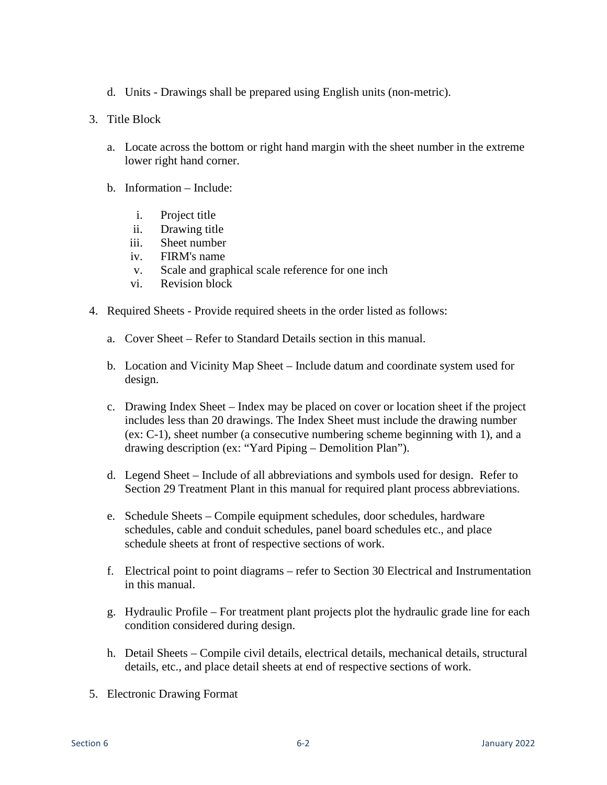- d. Units Drawings shall be prepared using English units (non-metric).
- 3. Title Block
	- a. Locate across the bottom or right hand margin with the sheet number in the extreme lower right hand corner.
	- b. Information Include:
		- i. Project title
		- ii. Drawing title
		- iii. Sheet number
		- iv. FIRM's name
		- v. Scale and graphical scale reference for one inch
		- vi. Revision block
- 4. Required Sheets Provide required sheets in the order listed as follows:
	- a. Cover Sheet Refer to Standard Details section in this manual.
	- b. Location and Vicinity Map Sheet Include datum and coordinate system used for design.
	- c. Drawing Index Sheet Index may be placed on cover or location sheet if the project includes less than 20 drawings. The Index Sheet must include the drawing number (ex: C-1), sheet number (a consecutive numbering scheme beginning with 1), and a drawing description (ex: "Yard Piping – Demolition Plan").
	- d. Legend Sheet Include of all abbreviations and symbols used for design. Refer to Section 29 Treatment Plant in this manual for required plant process abbreviations.
	- e. Schedule Sheets Compile equipment schedules, door schedules, hardware schedules, cable and conduit schedules, panel board schedules etc., and place schedule sheets at front of respective sections of work.
	- f. Electrical point to point diagrams refer to Section 30 Electrical and Instrumentation in this manual.
	- g. Hydraulic Profile For treatment plant projects plot the hydraulic grade line for each condition considered during design.
	- h. Detail Sheets Compile civil details, electrical details, mechanical details, structural details, etc., and place detail sheets at end of respective sections of work.
- 5. Electronic Drawing Format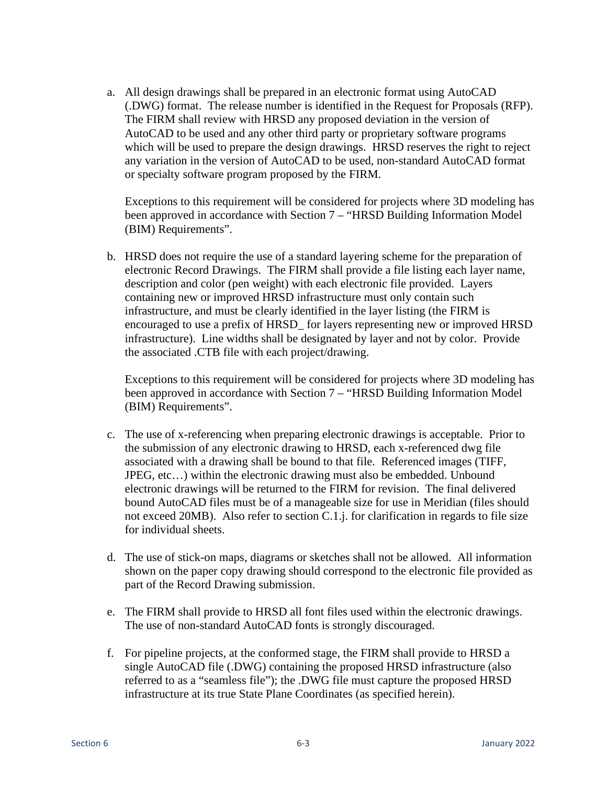a. All design drawings shall be prepared in an electronic format using AutoCAD (.DWG) format. The release number is identified in the Request for Proposals (RFP). The FIRM shall review with HRSD any proposed deviation in the version of AutoCAD to be used and any other third party or proprietary software programs which will be used to prepare the design drawings. HRSD reserves the right to reject any variation in the version of AutoCAD to be used, non-standard AutoCAD format or specialty software program proposed by the FIRM.

Exceptions to this requirement will be considered for projects where 3D modeling has been approved in accordance with Section 7 – "HRSD Building Information Model (BIM) Requirements".

b. HRSD does not require the use of a standard layering scheme for the preparation of electronic Record Drawings. The FIRM shall provide a file listing each layer name, description and color (pen weight) with each electronic file provided. Layers containing new or improved HRSD infrastructure must only contain such infrastructure, and must be clearly identified in the layer listing (the FIRM is encouraged to use a prefix of HRSD\_ for layers representing new or improved HRSD infrastructure). Line widths shall be designated by layer and not by color. Provide the associated .CTB file with each project/drawing.

Exceptions to this requirement will be considered for projects where 3D modeling has been approved in accordance with Section 7 – "HRSD Building Information Model (BIM) Requirements".

- c. The use of x-referencing when preparing electronic drawings is acceptable. Prior to the submission of any electronic drawing to HRSD, each x-referenced dwg file associated with a drawing shall be bound to that file. Referenced images (TIFF, JPEG, etc…) within the electronic drawing must also be embedded. Unbound electronic drawings will be returned to the FIRM for revision. The final delivered bound AutoCAD files must be of a manageable size for use in Meridian (files should not exceed 20MB). Also refer to section C.1.j. for clarification in regards to file size for individual sheets.
- d. The use of stick-on maps, diagrams or sketches shall not be allowed. All information shown on the paper copy drawing should correspond to the electronic file provided as part of the Record Drawing submission.
- e. The FIRM shall provide to HRSD all font files used within the electronic drawings. The use of non-standard AutoCAD fonts is strongly discouraged.
- f. For pipeline projects, at the conformed stage, the FIRM shall provide to HRSD a single AutoCAD file (.DWG) containing the proposed HRSD infrastructure (also referred to as a "seamless file"); the .DWG file must capture the proposed HRSD infrastructure at its true State Plane Coordinates (as specified herein).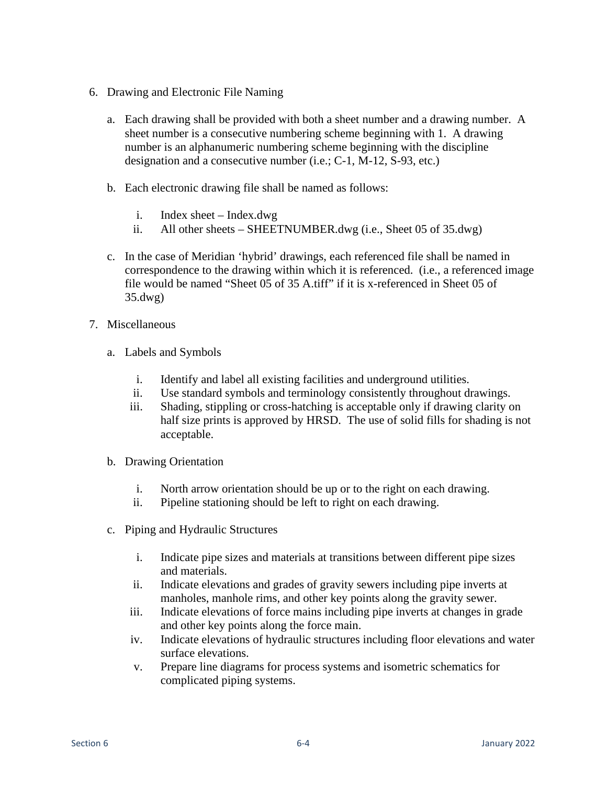- 6. Drawing and Electronic File Naming
	- a. Each drawing shall be provided with both a sheet number and a drawing number. A sheet number is a consecutive numbering scheme beginning with 1. A drawing number is an alphanumeric numbering scheme beginning with the discipline designation and a consecutive number (i.e.; C-1, M-12, S-93, etc.)
	- b. Each electronic drawing file shall be named as follows:
		- i. Index sheet Index.dwg
		- ii. All other sheets SHEETNUMBER.dwg (i.e., Sheet 05 of 35.dwg)
	- c. In the case of Meridian 'hybrid' drawings, each referenced file shall be named in correspondence to the drawing within which it is referenced. (i.e., a referenced image file would be named "Sheet 05 of 35 A.tiff" if it is x-referenced in Sheet 05 of 35.dwg)
- 7. Miscellaneous
	- a. Labels and Symbols
		- i. Identify and label all existing facilities and underground utilities.
		- ii. Use standard symbols and terminology consistently throughout drawings.
		- iii. Shading, stippling or cross-hatching is acceptable only if drawing clarity on half size prints is approved by HRSD. The use of solid fills for shading is not acceptable.
	- b. Drawing Orientation
		- i. North arrow orientation should be up or to the right on each drawing.
		- ii. Pipeline stationing should be left to right on each drawing.
	- c. Piping and Hydraulic Structures
		- i. Indicate pipe sizes and materials at transitions between different pipe sizes and materials.
		- ii. Indicate elevations and grades of gravity sewers including pipe inverts at manholes, manhole rims, and other key points along the gravity sewer.
		- iii. Indicate elevations of force mains including pipe inverts at changes in grade and other key points along the force main.
		- iv. Indicate elevations of hydraulic structures including floor elevations and water surface elevations.
		- v. Prepare line diagrams for process systems and isometric schematics for complicated piping systems.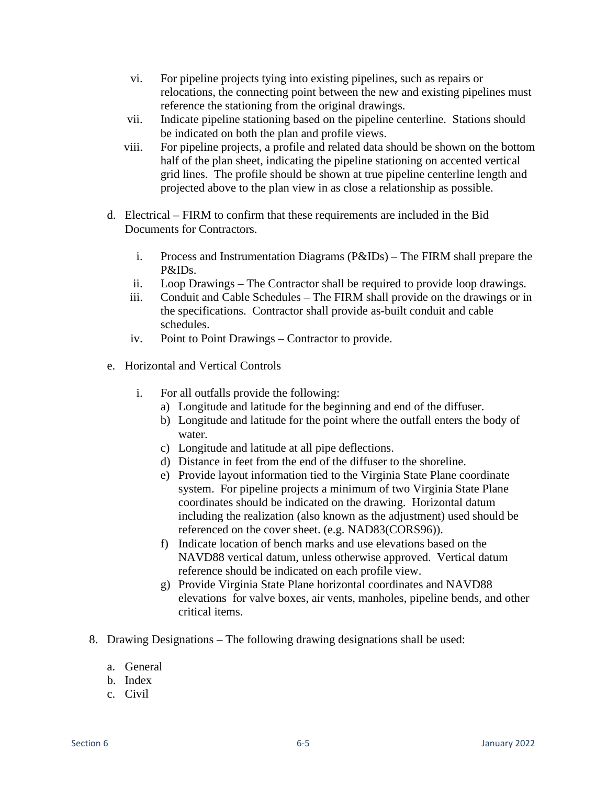- vi. For pipeline projects tying into existing pipelines, such as repairs or relocations, the connecting point between the new and existing pipelines must reference the stationing from the original drawings.
- vii. Indicate pipeline stationing based on the pipeline centerline. Stations should be indicated on both the plan and profile views.
- viii. For pipeline projects, a profile and related data should be shown on the bottom half of the plan sheet, indicating the pipeline stationing on accented vertical grid lines. The profile should be shown at true pipeline centerline length and projected above to the plan view in as close a relationship as possible.
- d. Electrical FIRM to confirm that these requirements are included in the Bid Documents for Contractors.
	- i. Process and Instrumentation Diagrams (P&IDs) The FIRM shall prepare the P&IDs.
	- ii. Loop Drawings The Contractor shall be required to provide loop drawings.
	- iii. Conduit and Cable Schedules The FIRM shall provide on the drawings or in the specifications. Contractor shall provide as-built conduit and cable schedules.
	- iv. Point to Point Drawings Contractor to provide.
- e. Horizontal and Vertical Controls
	- i. For all outfalls provide the following:
		- a) Longitude and latitude for the beginning and end of the diffuser.
		- b) Longitude and latitude for the point where the outfall enters the body of water.
		- c) Longitude and latitude at all pipe deflections.
		- d) Distance in feet from the end of the diffuser to the shoreline.
		- e) Provide layout information tied to the Virginia State Plane coordinate system. For pipeline projects a minimum of two Virginia State Plane coordinates should be indicated on the drawing. Horizontal datum including the realization (also known as the adjustment) used should be referenced on the cover sheet. (e.g. NAD83(CORS96)).
		- f) Indicate location of bench marks and use elevations based on the NAVD88 vertical datum, unless otherwise approved. Vertical datum reference should be indicated on each profile view.
		- g) Provide Virginia State Plane horizontal coordinates and NAVD88 elevations for valve boxes, air vents, manholes, pipeline bends, and other critical items.
- 8. Drawing Designations The following drawing designations shall be used:
	- a. General
	- b. Index
	- c. Civil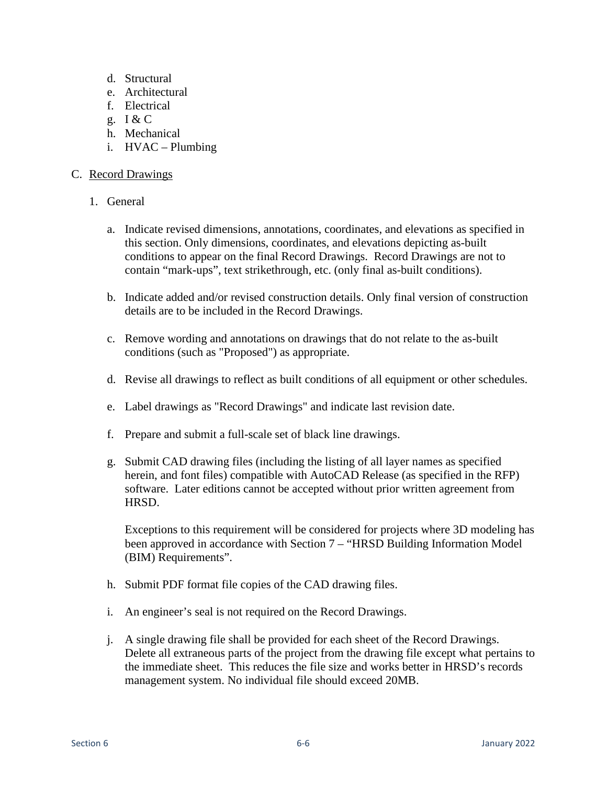- d. Structural
- e. Architectural
- f. Electrical
- g. I & C
- h. Mechanical
- i. HVAC Plumbing

### C. Record Drawings

- 1. General
	- a. Indicate revised dimensions, annotations, coordinates, and elevations as specified in this section. Only dimensions, coordinates, and elevations depicting as-built conditions to appear on the final Record Drawings. Record Drawings are not to contain "mark-ups", text strikethrough, etc. (only final as-built conditions).
	- b. Indicate added and/or revised construction details. Only final version of construction details are to be included in the Record Drawings.
	- c. Remove wording and annotations on drawings that do not relate to the as-built conditions (such as "Proposed") as appropriate.
	- d. Revise all drawings to reflect as built conditions of all equipment or other schedules.
	- e. Label drawings as "Record Drawings" and indicate last revision date.
	- f. Prepare and submit a full-scale set of black line drawings.
	- g. Submit CAD drawing files (including the listing of all layer names as specified herein, and font files) compatible with AutoCAD Release (as specified in the RFP) software. Later editions cannot be accepted without prior written agreement from HRSD.

Exceptions to this requirement will be considered for projects where 3D modeling has been approved in accordance with Section 7 – "HRSD Building Information Model (BIM) Requirements".

- h. Submit PDF format file copies of the CAD drawing files.
- i. An engineer's seal is not required on the Record Drawings.
- j. A single drawing file shall be provided for each sheet of the Record Drawings. Delete all extraneous parts of the project from the drawing file except what pertains to the immediate sheet. This reduces the file size and works better in HRSD's records management system. No individual file should exceed 20MB.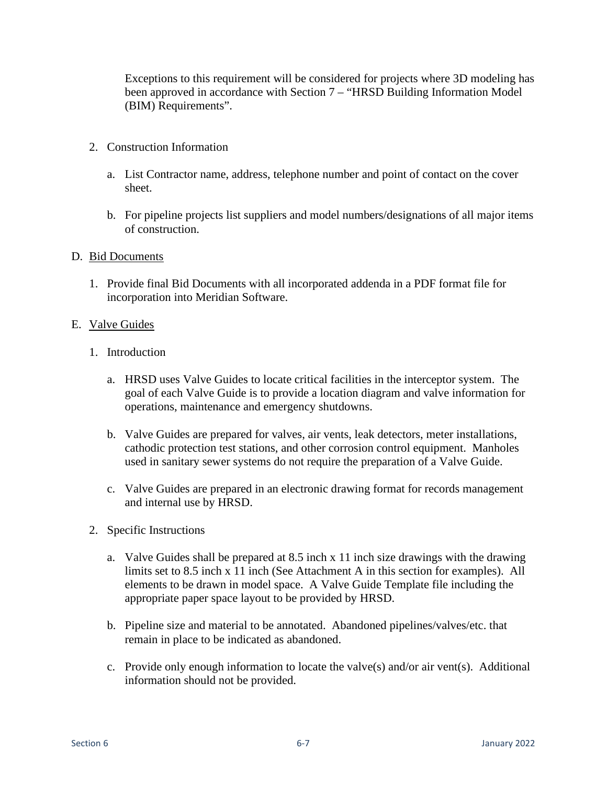Exceptions to this requirement will be considered for projects where 3D modeling has been approved in accordance with Section 7 – "HRSD Building Information Model (BIM) Requirements".

- 2. Construction Information
	- a. List Contractor name, address, telephone number and point of contact on the cover sheet.
	- b. For pipeline projects list suppliers and model numbers/designations of all major items of construction.

#### D. Bid Documents

1. Provide final Bid Documents with all incorporated addenda in a PDF format file for incorporation into Meridian Software.

#### E. Valve Guides

- 1. Introduction
	- a. HRSD uses Valve Guides to locate critical facilities in the interceptor system. The goal of each Valve Guide is to provide a location diagram and valve information for operations, maintenance and emergency shutdowns.
	- b. Valve Guides are prepared for valves, air vents, leak detectors, meter installations, cathodic protection test stations, and other corrosion control equipment. Manholes used in sanitary sewer systems do not require the preparation of a Valve Guide.
	- c. Valve Guides are prepared in an electronic drawing format for records management and internal use by HRSD.
- 2. Specific Instructions
	- a. Valve Guides shall be prepared at 8.5 inch x 11 inch size drawings with the drawing limits set to 8.5 inch x 11 inch (See Attachment A in this section for examples). All elements to be drawn in model space. A Valve Guide Template file including the appropriate paper space layout to be provided by HRSD.
	- b. Pipeline size and material to be annotated. Abandoned pipelines/valves/etc. that remain in place to be indicated as abandoned.
	- c. Provide only enough information to locate the valve(s) and/or air vent(s). Additional information should not be provided.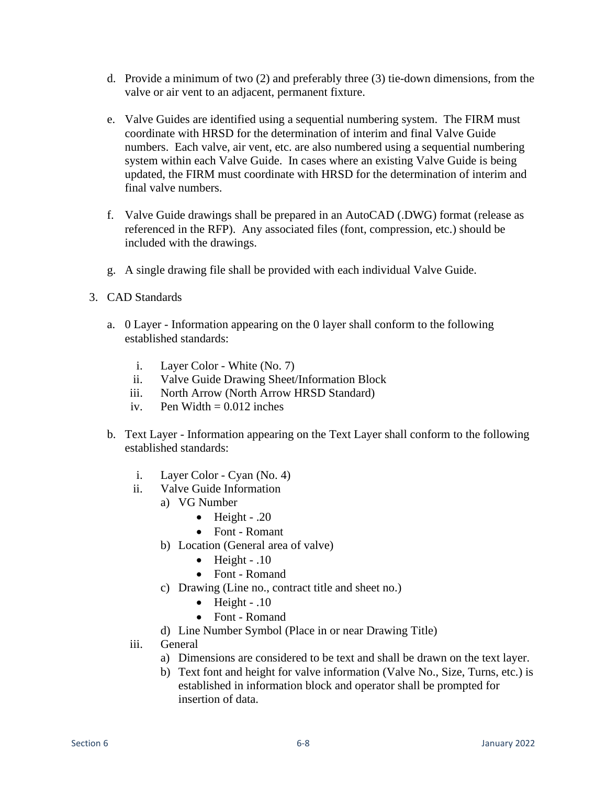- d. Provide a minimum of two (2) and preferably three (3) tie-down dimensions, from the valve or air vent to an adjacent, permanent fixture.
- e. Valve Guides are identified using a sequential numbering system. The FIRM must coordinate with HRSD for the determination of interim and final Valve Guide numbers. Each valve, air vent, etc. are also numbered using a sequential numbering system within each Valve Guide. In cases where an existing Valve Guide is being updated, the FIRM must coordinate with HRSD for the determination of interim and final valve numbers.
- f. Valve Guide drawings shall be prepared in an AutoCAD (.DWG) format (release as referenced in the RFP). Any associated files (font, compression, etc.) should be included with the drawings.
- g. A single drawing file shall be provided with each individual Valve Guide.
- 3. CAD Standards
	- a. 0 Layer Information appearing on the 0 layer shall conform to the following established standards:
		- i. Layer Color White (No. 7)
		- ii. Valve Guide Drawing Sheet/Information Block
		- iii. North Arrow (North Arrow HRSD Standard)
		- iv. Pen Width  $= 0.012$  inches
	- b. Text Layer Information appearing on the Text Layer shall conform to the following established standards:
		- i. Layer Color Cyan (No. 4)
		- ii. Valve Guide Information
			- a) VG Number
				- $\bullet$  Height .20
				- Font Romant
			- b) Location (General area of valve)
				- $\bullet$  Height .10
				- Font Romand
			- c) Drawing (Line no., contract title and sheet no.)
				- Height  $.10$
				- Font Romand
			- d) Line Number Symbol (Place in or near Drawing Title)
		- iii. General
			- a) Dimensions are considered to be text and shall be drawn on the text layer.
			- b) Text font and height for valve information (Valve No., Size, Turns, etc.) is established in information block and operator shall be prompted for insertion of data.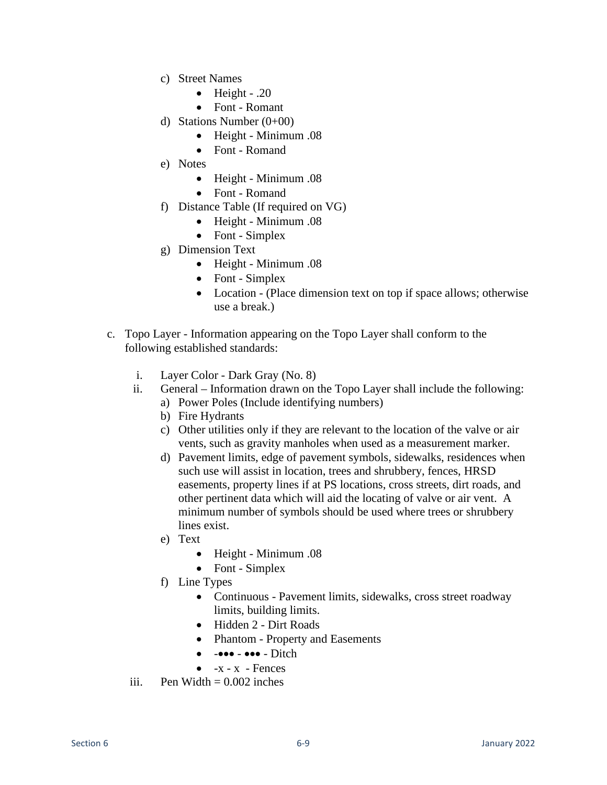- c) Street Names
	- $\bullet$  Height .20
	- Font Romant
- d) Stations Number  $(0+00)$ 
	- Height Minimum .08
	- Font Romand
- e) Notes
	- Height Minimum .08
	- Font Romand
- f) Distance Table (If required on VG)
	- Height Minimum .08
	- Font Simplex
- g) Dimension Text
	- Height Minimum .08
	- Font Simplex
	- Location (Place dimension text on top if space allows; otherwise use a break.)
- c. Topo Layer Information appearing on the Topo Layer shall conform to the following established standards:
	- i. Layer Color Dark Gray (No. 8)
	- ii. General Information drawn on the Topo Layer shall include the following:
		- a) Power Poles (Include identifying numbers)
		- b) Fire Hydrants
		- c) Other utilities only if they are relevant to the location of the valve or air vents, such as gravity manholes when used as a measurement marker.
		- d) Pavement limits, edge of pavement symbols, sidewalks, residences when such use will assist in location, trees and shrubbery, fences, HRSD easements, property lines if at PS locations, cross streets, dirt roads, and other pertinent data which will aid the locating of valve or air vent. A minimum number of symbols should be used where trees or shrubbery lines exist.
		- e) Text
			- Height Minimum .08
			- Font Simplex
		- f) Line Types
			- Continuous Pavement limits, sidewalks, cross street roadway limits, building limits.
			- Hidden 2 Dirt Roads
			- Phantom Property and Easements
			- $\bullet$   $\text{-}\bullet\bullet\bullet$   $\bullet\bullet\bullet$   $\text{Dict}$
			- $\bullet$  -x x Fences
	- iii. Pen Width  $= 0.002$  inches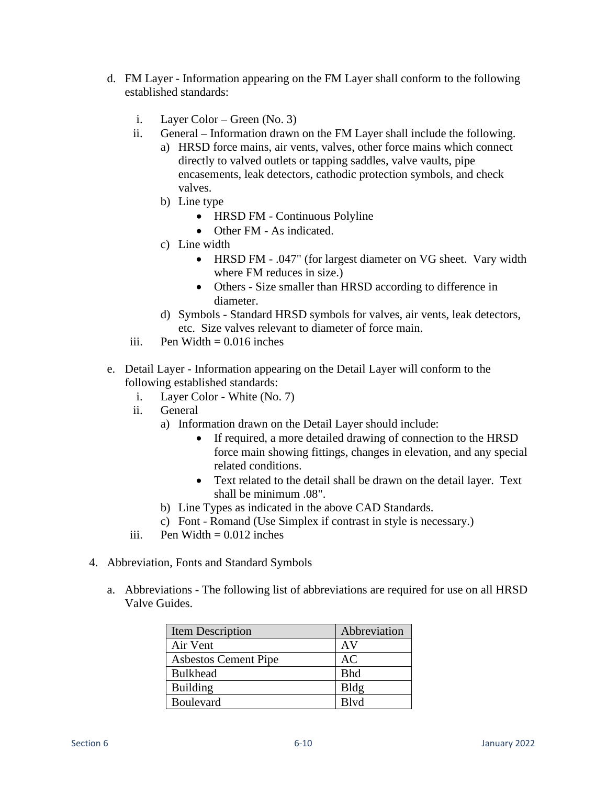- d. FM Layer Information appearing on the FM Layer shall conform to the following established standards:
	- i. Layer Color Green (No. 3)
	- ii. General Information drawn on the FM Layer shall include the following.
		- a) HRSD force mains, air vents, valves, other force mains which connect directly to valved outlets or tapping saddles, valve vaults, pipe encasements, leak detectors, cathodic protection symbols, and check valves.
		- b) Line type
			- HRSD FM Continuous Polyline
			- Other FM As indicated.
		- c) Line width
			- HRSD FM .047" (for largest diameter on VG sheet. Vary width where FM reduces in size.)
			- Others Size smaller than HRSD according to difference in diameter.
		- d) Symbols Standard HRSD symbols for valves, air vents, leak detectors, etc. Size valves relevant to diameter of force main.
	- iii. Pen Width  $= 0.016$  inches
- e. Detail Layer Information appearing on the Detail Layer will conform to the following established standards:
	- i. Layer Color White (No. 7)
	- ii. General
		- a) Information drawn on the Detail Layer should include:
			- If required, a more detailed drawing of connection to the HRSD force main showing fittings, changes in elevation, and any special related conditions.
			- Text related to the detail shall be drawn on the detail layer. Text shall be minimum .08".
		- b) Line Types as indicated in the above CAD Standards.
		- c) Font Romand (Use Simplex if contrast in style is necessary.)
	- iii. Pen Width  $= 0.012$  inches
- 4. Abbreviation, Fonts and Standard Symbols
	- a. Abbreviations The following list of abbreviations are required for use on all HRSD Valve Guides.

| Item Description            | Abbreviation |
|-----------------------------|--------------|
| Air Vent                    | AV           |
| <b>Asbestos Cement Pipe</b> | AC           |
| <b>Bulkhead</b>             | <b>Bhd</b>   |
| <b>Building</b>             | Bldg         |
| <b>Boulevard</b>            | Blyd         |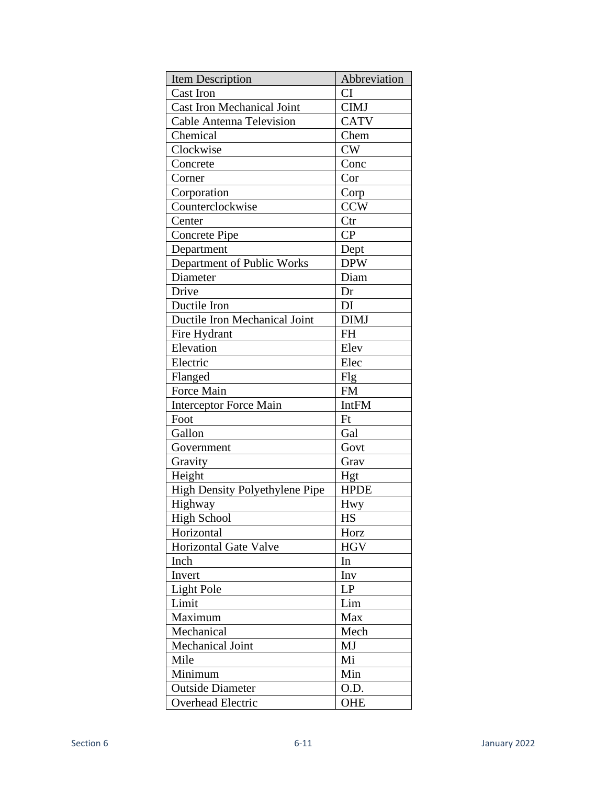| Item Description                      | Abbreviation |
|---------------------------------------|--------------|
| <b>Cast Iron</b>                      | <b>CI</b>    |
| <b>Cast Iron Mechanical Joint</b>     | <b>CIMJ</b>  |
| <b>Cable Antenna Television</b>       | <b>CATV</b>  |
| Chemical                              | Chem         |
| Clockwise                             | <b>CW</b>    |
| Concrete                              | Conc         |
| Corner                                | Cor          |
| Corporation                           | Corp         |
| Counterclockwise                      | <b>CCW</b>   |
| Center                                | Ctr          |
| <b>Concrete Pipe</b>                  | CP           |
| Department                            | Dept         |
| Department of Public Works            | <b>DPW</b>   |
| Diameter                              | Diam         |
| Drive                                 | Dr           |
| Ductile Iron                          | DI           |
| Ductile Iron Mechanical Joint         | <b>DIMJ</b>  |
| Fire Hydrant                          | <b>FH</b>    |
| Elevation                             | Elev         |
| Electric                              | Elec         |
| Flanged                               | Flg          |
| Force Main                            | <b>FM</b>    |
| <b>Interceptor Force Main</b>         | <b>IntFM</b> |
| Foot                                  | Ft           |
| Gallon                                | Gal          |
| Government                            | Govt         |
| Gravity                               | Grav         |
| Height                                | Hgt          |
| <b>High Density Polyethylene Pipe</b> | <b>HPDE</b>  |
| Highway                               | Hwy          |
| High School                           | HS           |
| Horizontal                            | Horz         |
| <b>Horizontal Gate Valve</b>          | <b>HGV</b>   |
| Inch                                  | In           |
| Invert                                | Inv          |
| <b>Light Pole</b>                     | LP           |
| Limit                                 | Lim          |
| Maximum                               | Max          |
| Mechanical                            | Mech         |
| <b>Mechanical Joint</b>               | MJ           |
| Mile                                  | Mi           |
| Minimum                               | Min          |
| <b>Outside Diameter</b>               | 0.D.         |
| Overhead Electric                     | <b>OHE</b>   |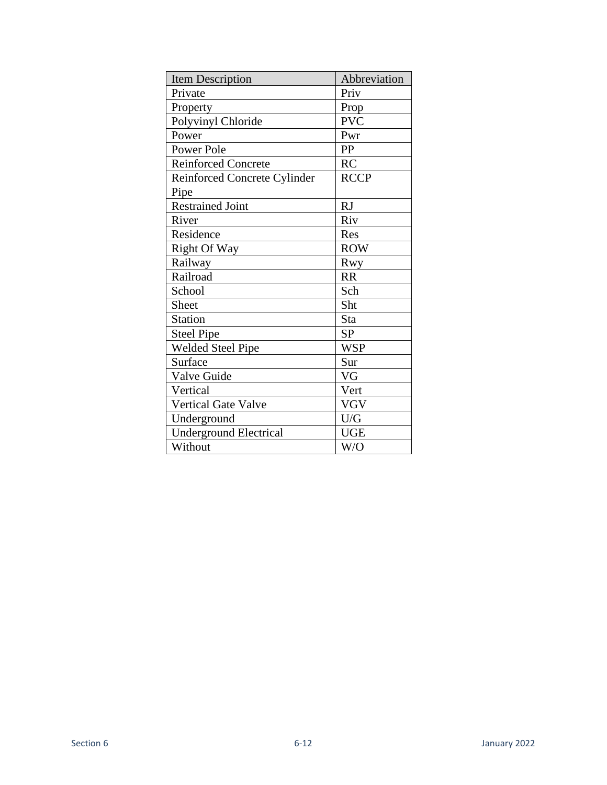| <b>Item Description</b>             | Abbreviation |
|-------------------------------------|--------------|
| Private                             | Priv         |
| Property                            | Prop         |
| Polyvinyl Chloride                  | <b>PVC</b>   |
| Power                               | Pwr          |
| Power Pole                          | PP           |
| <b>Reinforced Concrete</b>          | RC           |
| <b>Reinforced Concrete Cylinder</b> | <b>RCCP</b>  |
| Pipe                                |              |
| <b>Restrained Joint</b>             | RJ           |
| River                               | Riv          |
| Residence                           | Res          |
| Right Of Way                        | <b>ROW</b>   |
| Railway                             | Rwy          |
| Railroad                            | <b>RR</b>    |
| School                              | Sch          |
| <b>Sheet</b>                        | Sht          |
| <b>Station</b>                      | Sta          |
| <b>Steel Pipe</b>                   | <b>SP</b>    |
| <b>Welded Steel Pipe</b>            | <b>WSP</b>   |
| Surface                             | Sur          |
| Valve Guide                         | VG           |
| Vertical                            | Vert         |
| <b>Vertical Gate Valve</b>          | <b>VGV</b>   |
| Underground                         | U/G          |
| <b>Underground Electrical</b>       | <b>UGE</b>   |
| Without                             | W/O          |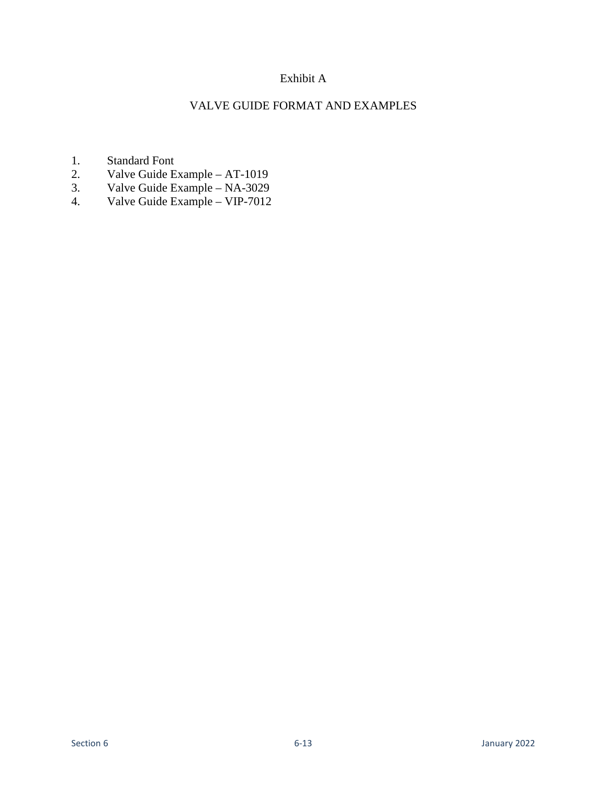# Exhibit A

## VALVE GUIDE FORMAT AND EXAMPLES

- 1. Standard Font
- 2. Valve Guide Example AT-1019
- 3. Valve Guide Example NA-3029
- 4. Valve Guide Example VIP-7012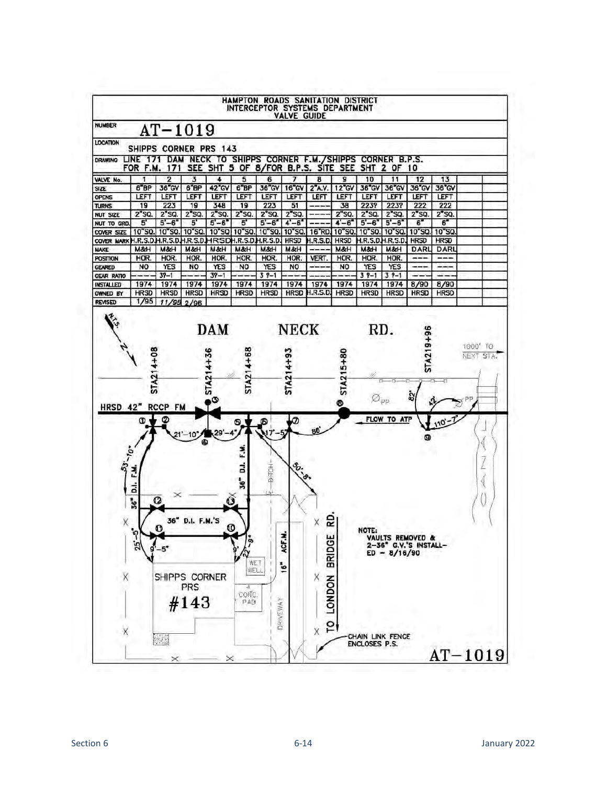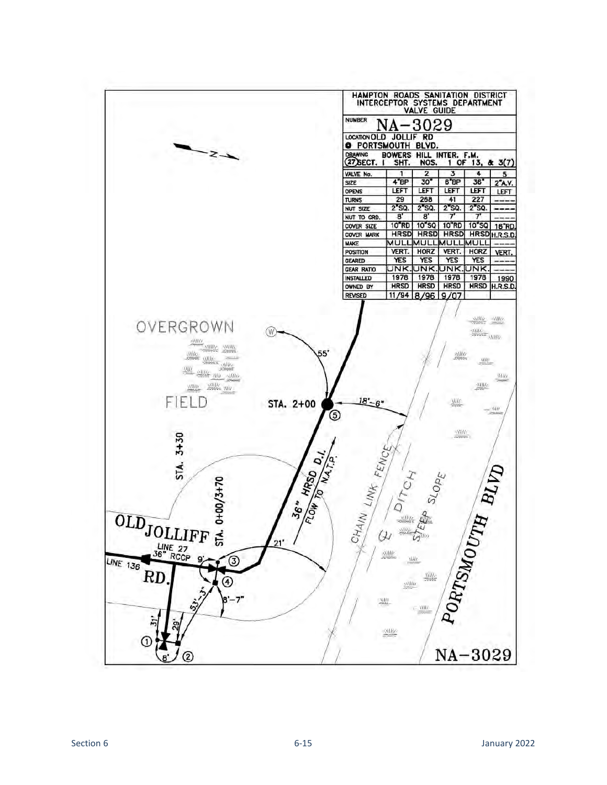